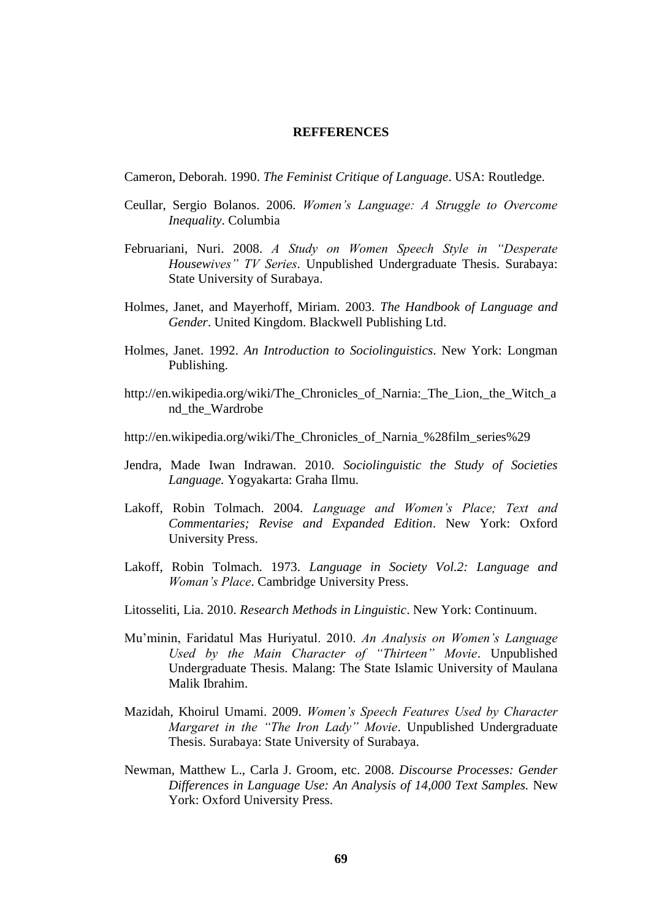## **REFFERENCES**

Cameron, Deborah. 1990. *The Feminist Critique of Language*. USA: Routledge.

- Ceullar, Sergio Bolanos. 2006. *Women's Language: A Struggle to Overcome Inequality*. Columbia
- Februariani, Nuri. 2008. *A Study on Women Speech Style in "Desperate Housewives" TV Series*. Unpublished Undergraduate Thesis. Surabaya: State University of Surabaya.
- Holmes, Janet, and Mayerhoff, Miriam. 2003. *The Handbook of Language and Gender*. United Kingdom. Blackwell Publishing Ltd.
- Holmes, Janet. 1992. *An Introduction to Sociolinguistics*. New York: Longman Publishing.
- [http://en.wikipedia.org/wiki/The\\_Chronicles\\_of\\_Narnia:\\_The\\_Lion,\\_the\\_Witch\\_a](http://en.wikipedia.org/wiki/The_Chronicles_of_Narnia:_The_Lion,_the_Witch_and_the_Wardrobe) [nd\\_the\\_Wardrobe](http://en.wikipedia.org/wiki/The_Chronicles_of_Narnia:_The_Lion,_the_Witch_and_the_Wardrobe)
- [http://en.wikipedia.org/wiki/The\\_Chronicles\\_of\\_Narnia\\_%28film\\_series%29](http://en.wikipedia.org/wiki/The_Chronicles_of_Narnia_%28film_series%29)
- Jendra, Made Iwan Indrawan. 2010. *Sociolinguistic the Study of Societies Language.* Yogyakarta: Graha Ilmu.
- Lakoff, Robin Tolmach. 2004. *Language and Women's Place; Text and Commentaries; Revise and Expanded Edition*. New York: Oxford University Press.
- Lakoff, Robin Tolmach. 1973. *Language in Society Vol.2: Language and Woman's Place*. Cambridge University Press.
- Litosseliti, Lia. 2010. *Research Methods in Linguistic*. New York: Continuum.
- Mu'minin, Faridatul Mas Huriyatul. 2010. *An Analysis on Women's Language Used by the Main Character of "Thirteen" Movie*. Unpublished Undergraduate Thesis. Malang: The State Islamic University of Maulana Malik Ibrahim.
- Mazidah, Khoirul Umami. 2009. *Women's Speech Features Used by Character Margaret in the "The Iron Lady" Movie*. Unpublished Undergraduate Thesis. Surabaya: State University of Surabaya.
- Newman, Matthew L., Carla J. Groom, etc. 2008. *Discourse Processes: Gender Differences in Language Use: An Analysis of 14,000 Text Samples.* New York: Oxford University Press.